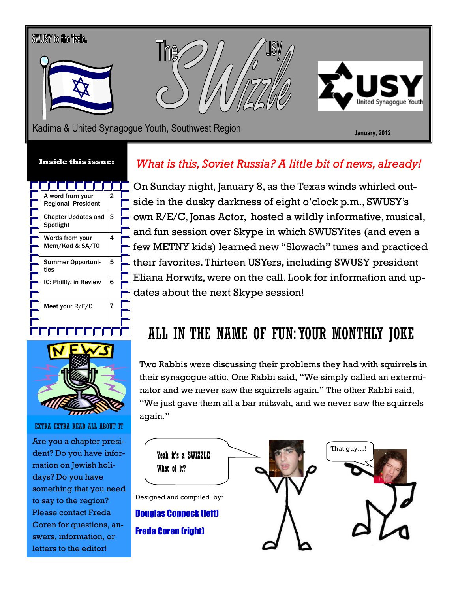# SWUSY to the Tzzle. Kadima & United Synagogue Youth, Southwest Region **State Communist Construction** January, 2012

#### Inside this issue:





EXTRA EXTRA READ ALL ABOUT IT

Are you a chapter president? Do you have information on Jewish holidays? Do you have something that you need to say to the region? Please contact Freda Coren for questions, answers, information, or letters to the editor!

#### What is this, Soviet Russia? A little bit of news, already!

On Sunday night, January 8, as the Texas winds whirled outside in the dusky darkness of eight o'clock p.m., SWUSY's own R/E/C, Jonas Actor, hosted a wildly informative, musical, and fun session over Skype in which SWUSYites (and even a few METNY kids) learned new "Slowach" tunes and practiced their favorites. Thirteen USYers, including SWUSY president Eliana Horwitz, were on the call. Look for information and updates about the next Skype session!

#### ALL IN THE NAME OF FUN: YOUR MONTHLY JOKE

Two Rabbis were discussing their problems they had with squirrels in their synagogue attic. One Rabbi said, "We simply called an exterminator and we never saw the squirrels again." The other Rabbi said, "We just gave them all a bar mitzvah, and we never saw the squirrels again."

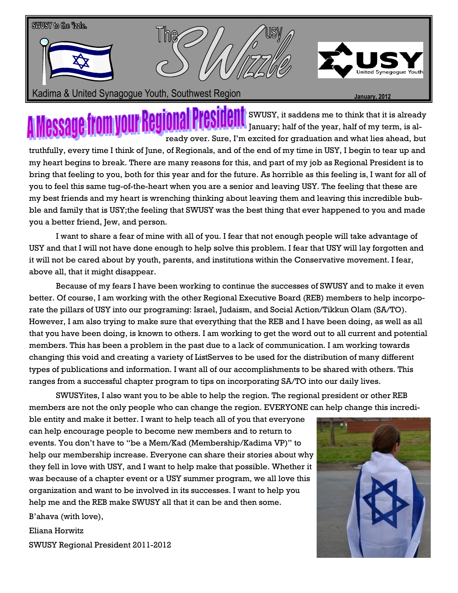

 $\prod_{i=1}^N$  SWUSY, it saddens me to think that it is already **JOILLUILL** January; half of the year, half of my term, is already over. Sure, I'm excited for graduation and what lies ahead, but truthfully, every time I think of June, of Regionals, and of the end of my time in USY, I begin to tear up and my heart begins to break. There are many reasons for this, and part of my job as Regional President is to bring that feeling to you, both for this year and for the future. As horrible as this feeling is, I want for all of you to feel this same tug-of-the-heart when you are a senior and leaving USY. The feeling that these are my best friends and my heart is wrenching thinking about leaving them and leaving this incredible bubble and family that is USY;the feeling that SWUSY was the best thing that ever happened to you and made you a better friend, Jew, and person.

 I want to share a fear of mine with all of you. I fear that not enough people will take advantage of USY and that I will not have done enough to help solve this problem. I fear that USY will lay forgotten and it will not be cared about by youth, parents, and institutions within the Conservative movement. I fear, above all, that it might disappear.

 Because of my fears I have been working to continue the successes of SWUSY and to make it even better. Of course, I am working with the other Regional Executive Board (REB) members to help incorporate the pillars of USY into our programing: Israel, Judaism, and Social Action/Tikkun Olam (SA/TO). However, I am also trying to make sure that everything that the REB and I have been doing, as well as all that you have been doing, is known to others. I am working to get the word out to all current and potential members. This has been a problem in the past due to a lack of communication. I am working towards changing this void and creating a variety of ListServes to be used for the distribution of many different types of publications and information. I want all of our accomplishments to be shared with others. This ranges from a successful chapter program to tips on incorporating SA/TO into our daily lives.

 SWUSYites, I also want you to be able to help the region. The regional president or other REB members are not the only people who can change the region. EVERYONE can help change this incredi-

ble entity and make it better. I want to help teach all of you that everyone can help encourage people to become new members and to return to events. You don't have to "be a Mem/Kad (Membership/Kadima VP)" to help our membership increase. Everyone can share their stories about why they fell in love with USY, and I want to help make that possible. Whether it was because of a chapter event or a USY summer program, we all love this organization and want to be involved in its successes. I want to help you help me and the REB make SWUSY all that it can be and then some.

B'ahava (with love),

Eliana Horwitz

SWUSY Regional President 2011-2012

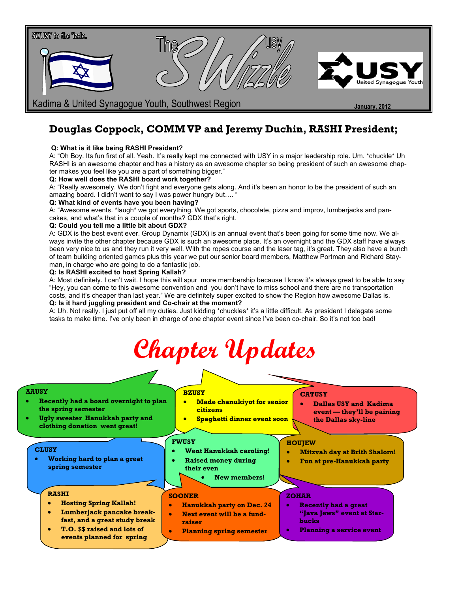

#### Douglas Coppock, COMM VP and Jeremy Duchin, RASHI President;

#### Q: What is it like being RASHI President?

A: "Oh Boy. Its fun first of all. Yeah. It's really kept me connected with USY in a major leadership role. Um. \*chuckle\* Uh RASHI is an awesome chapter and has a history as an awesome chapter so being president of such an awesome chapter makes you feel like you are a part of something bigger."

#### Q: How well does the RASHI board work together?

A: "Really awesomely. We don't fight and everyone gets along. And it's been an honor to be the president of such an amazing board. I didn't want to say I was power hungry but....

#### Q: What kind of events have you been having?

A: "Awesome events. \*laugh\* we got everything. We got sports, chocolate, pizza and improv, lumberjacks and pancakes, and what's that in a couple of months? GDX that's right.

#### Q: Could you tell me a little bit about GDX?

A: GDX is the best event ever. Group Dynamix (GDX) is an annual event that's been going for some time now. We always invite the other chapter because GDX is such an awesome place. It's an overnight and the GDX staff have always been very nice to us and they run it very well. With the ropes course and the laser tag, it's great. They also have a bunch of team building oriented games plus this year we put our senior board members, Matthew Portman and Richard Stayman, in charge who are going to do a fantastic job.

#### Q: Is RASHI excited to host Spring Kallah?

A: Most definitely. I can't wait. I hope this will spur more membership because I know it's always great to be able to say "Hey, you can come to this awesome convention and you don't have to miss school and there are no transportation costs, and it's cheaper than last year." We are definitely super excited to show the Region how awesome Dallas is. Q: Is it hard juggling president and Co-chair at the moment?

A: Uh. Not really. I just put off all my duties. Just kidding \*chuckles\* it's a little difficult. As president I delegate some tasks to make time. I've only been in charge of one chapter event since I've been co-chair. So it's not too bad!

| Chapter Updates |  |
|-----------------|--|
|                 |  |

#### AAUSY

- Recently had a board overnight to plan the spring semester
- Ugly sweater Hanukkah party and clothing donation went great!

#### **BZUSY**

- Made chanukiyot for senior citizens
- Spaghetti dinner event soon

#### **CATUSY**

• Dallas USY and Kadima event — they'll be paining the Dallas sky-line

#### **CLUSY**

• Working hard to plan a great spring semester

#### RASHI

- Hosting Spring Kallah!
- Lumberjack pancake breakfast, and a great study break
- T.O. \$\$ raised and lots of events planned for spring

• Went Hanukkah caroling! • Raised money during

New members!

#### **HOUJEW**

- Mitzvah day at Brith Shalom!
- Fun at pre-Hanukkah party

#### SOONER

FWUSY

- Hanukkah party on Dec. 24
- Next event will be a fundraiser

their even

• Planning spring semester

#### ZOHAR

- Recently had a great "Java Jews" event at Starbucks
- Planning a service event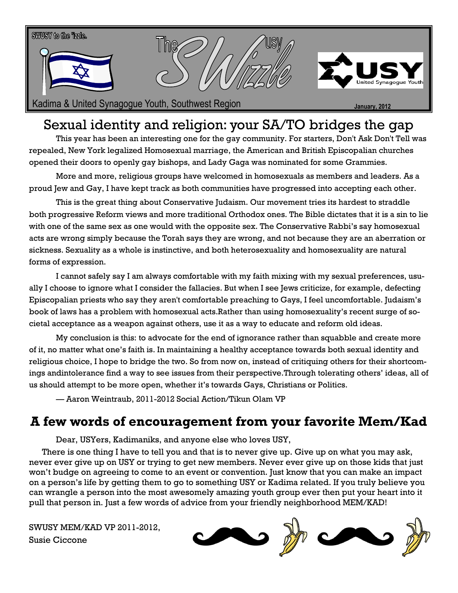

Kadima & United Synagogue Youth, Southwest Region June 1997 1997 January, 2012

#### Sexual identity and religion: your SA/TO bridges the gap

This year has been an interesting one for the gay community. For starters, Don't Ask Don't Tell was repealed, New York legalized Homosexual marriage, the American and British Episcopalian churches opened their doors to openly gay bishops, and Lady Gaga was nominated for some Grammies.

More and more, religious groups have welcomed in homosexuals as members and leaders. As a proud Jew and Gay, I have kept track as both communities have progressed into accepting each other.

This is the great thing about Conservative Judaism. Our movement tries its hardest to straddle both progressive Reform views and more traditional Orthodox ones. The Bible dictates that it is a sin to lie with one of the same sex as one would with the opposite sex. The Conservative Rabbi's say homosexual acts are wrong simply because the Torah says they are wrong, and not because they are an aberration or sickness. Sexuality as a whole is instinctive, and both heterosexuality and homosexuality are natural forms of expression.

I cannot safely say I am always comfortable with my faith mixing with my sexual preferences, usually I choose to ignore what I consider the fallacies. But when I see Jews criticize, for example, defecting Episcopalian priests who say they aren't comfortable preaching to Gays, I feel uncomfortable. Judaism's book of laws has a problem with homosexual acts.Rather than using homosexuality's recent surge of societal acceptance as a weapon against others, use it as a way to educate and reform old ideas.

My conclusion is this: to advocate for the end of ignorance rather than squabble and create more of it, no matter what one's faith is. In maintaining a healthy acceptance towards both sexual identity and religious choice, I hope to bridge the two. So from now on, instead of critiquing others for their shortcomings andintolerance find a way to see issues from their perspective.Through tolerating others' ideas, all of us should attempt to be more open, whether it's towards Gays, Christians or Politics.

— Aaron Weintraub, 2011-2012 Social Action/Tikun Olam VP

#### A few words of encouragement from your favorite Mem/Kad

Dear, USYers, Kadimaniks, and anyone else who loves USY,

 There is one thing I have to tell you and that is to never give up. Give up on what you may ask, never ever give up on USY or trying to get new members. Never ever give up on those kids that just won't budge on agreeing to come to an event or convention. Just know that you can make an impact on a person's life by getting them to go to something USY or Kadima related. If you truly believe you can wrangle a person into the most awesomely amazing youth group ever then put your heart into it pull that person in. Just a few words of advice from your friendly neighborhood MEM/KAD!

SWUSY MEM/KAD VP 2011-2012, Susie Ciccone

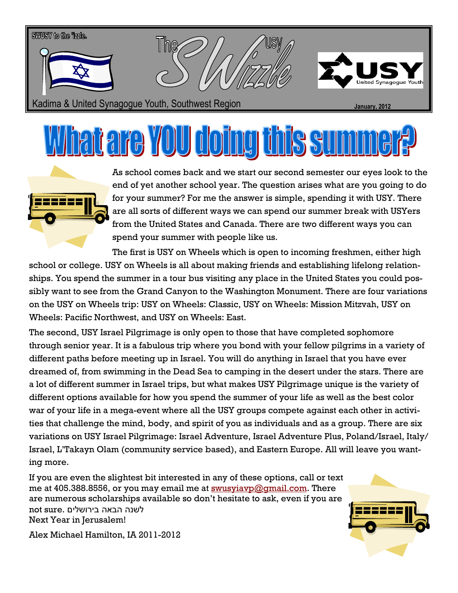

## <u>prie VOU doing</u>



As school comes back and we start our second semester our eyes look to the end of yet another school year. The question arises what are you going to do for your summer? For me the answer is simple, spending it with USY. There are all sorts of different ways we can spend our summer break with USYers from the United States and Canada. There are two different ways you can spend your summer with people like us.

The first is USY on Wheels which is open to incoming freshmen, either high school or college. USY on Wheels is all about making friends and establishing lifelong relationships. You spend the summer in a tour bus visiting any place in the United States you could possibly want to see from the Grand Canyon to the Washington Monument. There are four variations on the USY on Wheels trip: USY on Wheels: Classic, USY on Wheels: Mission Mitzvah, USY on Wheels: Pacific Northwest, and USY on Wheels: East.

The second, USY Israel Pilgrimage is only open to those that have completed sophomore through senior year. It is a fabulous trip where you bond with your fellow pilgrims in a variety of different paths before meeting up in Israel. You will do anything in Israel that you have ever dreamed of, from swimming in the Dead Sea to camping in the desert under the stars. There are a lot of different summer in Israel trips, but what makes USY Pilgrimage unique is the variety of different options available for how you spend the summer of your life as well as the best color war of your life in a mega-event where all the USY groups compete against each other in activities that challenge the mind, body, and spirit of you as individuals and as a group. There are six variations on USY Israel Pilgrimage: Israel Adventure, Israel Adventure Plus, Poland/Israel, Italy/ Israel, L'Takayn Olam (community service based), and Eastern Europe. All will leave you wanting more.

If you are even the slightest bit interested in any of these options, call or text me at 405.388.8556, or you may email me at **swusyiavp@gmail.com**. There are numerous scholarships available so don't hesitate to ask, even if you are לשנה הבאה בירושלים .sure not Next Year in Jerusalem!



Alex Michael Hamilton, IA 2011-2012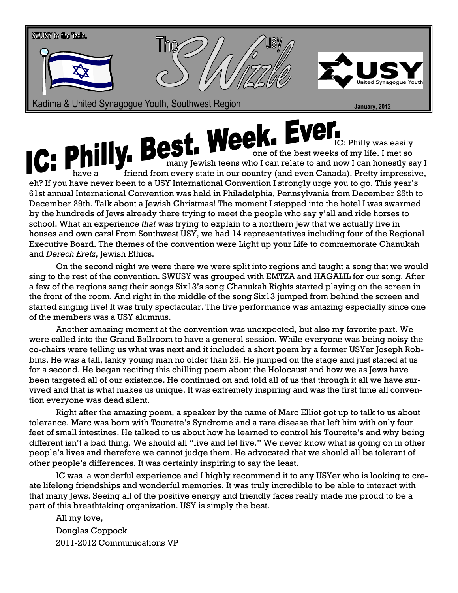

IC: Philly was easily one of the best weeks of my life. I met so many Jewish teens who I can relate to and now I can honestly say I **have a friend from every state in our country (and even Canada). Pretty impressive,** eh? If you have never been to a USY International Convention I strongly urge you to go. This year's 61st annual International Convention was held in Philadelphia, Pennsylvania from December 25th to December 29th. Talk about a Jewish Christmas! The moment I stepped into the hotel I was swarmed by the hundreds of Jews already there trying to meet the people who say y'all and ride horses to school. What an experience that was trying to explain to a northern Jew that we actually live in houses and own cars! From Southwest USY, we had 14 representatives including four of the Regional Executive Board. The themes of the convention were Light up your Life to commemorate Chanukah and Derech Eretz, Jewish Ethics.

On the second night we were there we were split into regions and taught a song that we would sing to the rest of the convention. SWUSY was grouped with EMTZA and HAGALIL for our song. After a few of the regions sang their songs Six13's song Chanukah Rights started playing on the screen in the front of the room. And right in the middle of the song Six13 jumped from behind the screen and started singing live! It was truly spectacular. The live performance was amazing especially since one of the members was a USY alumnus.

 Another amazing moment at the convention was unexpected, but also my favorite part. We were called into the Grand Ballroom to have a general session. While everyone was being noisy the co-chairs were telling us what was next and it included a short poem by a former USYer Joseph Robbins. He was a tall, lanky young man no older than 25. He jumped on the stage and just stared at us for a second. He began reciting this chilling poem about the Holocaust and how we as Jews have been targeted all of our existence. He continued on and told all of us that through it all we have survived and that is what makes us unique. It was extremely inspiring and was the first time all convention everyone was dead silent.

Right after the amazing poem, a speaker by the name of Marc Elliot got up to talk to us about tolerance. Marc was born with Tourette's Syndrome and a rare disease that left him with only four feet of small intestines. He talked to us about how he learned to control his Tourette's and why being different isn't a bad thing. We should all "live and let live." We never know what is going on in other people's lives and therefore we cannot judge them. He advocated that we should all be tolerant of other people's differences. It was certainly inspiring to say the least.

IC was a wonderful experience and I highly recommend it to any USYer who is looking to create lifelong friendships and wonderful memories. It was truly incredible to be able to interact with that many Jews. Seeing all of the positive energy and friendly faces really made me proud to be a part of this breathtaking organization. USY is simply the best.

All my love, Douglas Coppock 2011-2012 Communications VP